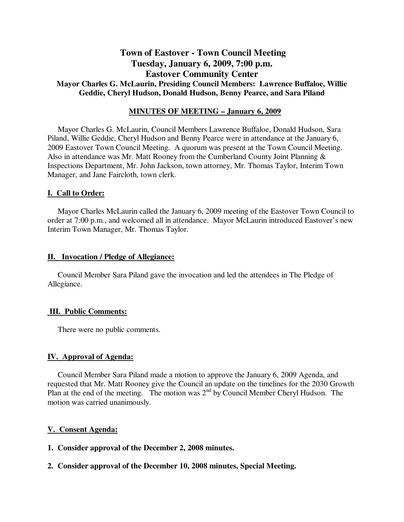# **Town of Eastover - Town Council Meeting Tuesday, January 6, 2009, 7:00 p.m. Eastover Community Center Mayor Charles G. McLaurin, Presiding Council Members: Lawrence Buffaloe, Willie Geddie, Cheryl Hudson, Donald Hudson, Benny Pearce, and Sara Piland**

# **MINUTES OF MEETING – January 6, 2009**

Mayor Charles G. McLaurin, Council Members Lawrence Buffaloe, Donald Hudson, Sara Piland, Willie Geddie, Cheryl Hudson and Benny Pearce were in attendance at the January 6, 2009 Eastover Town Council Meeting. A quorum was present at the Town Council Meeting. Also in attendance was Mr. Matt Rooney from the Cumberland County Joint Planning & Inspections Department, Mr. John Jackson, town attorney, Mr. Thomas Taylor, Interim Town Manager, and Jane Faircloth, town clerk.

# **I. Call to Order:**

Mayor Charles McLaurin called the January 6, 2009 meeting of the Eastover Town Council to order at 7:00 p.m., and welcomed all in attendance. Mayor McLaurin introduced Eastover's new Interim Town Manager, Mr. Thomas Taylor.

### **II. Invocation / Pledge of Allegiance:**

 Council Member Sara Piland gave the invocation and led the attendees in The Pledge of Allegiance.

# **III. Public Comments:**

There were no public comments.

# **IV. Approval of Agenda:**

 Council Member Sara Piland made a motion to approve the January 6, 2009 Agenda, and requested that Mr. Matt Rooney give the Council an update on the timelines for the 2030 Growth Plan at the end of the meeting. The motion was  $2<sup>nd</sup>$  by Council Member Cheryl Hudson. The motion was carried unanimously.

#### **V. Consent Agenda:**

**1. Consider approval of the December 2, 2008 minutes.** 

# **2. Consider approval of the December 10, 2008 minutes, Special Meeting.**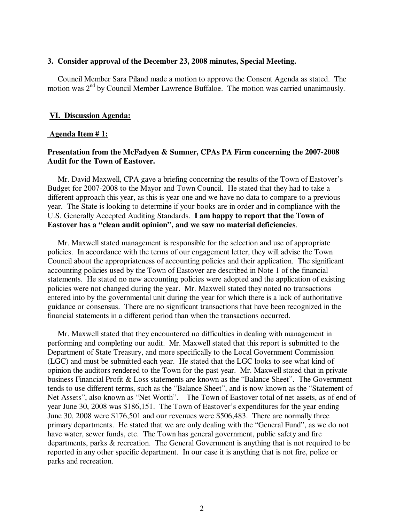### **3. Consider approval of the December 23, 2008 minutes, Special Meeting.**

 Council Member Sara Piland made a motion to approve the Consent Agenda as stated. The motion was 2<sup>nd</sup> by Council Member Lawrence Buffaloe. The motion was carried unanimously.

### **VI. Discussion Agenda:**

#### **Agenda Item # 1:**

# **Presentation from the McFadyen & Sumner, CPAs PA Firm concerning the 2007-2008 Audit for the Town of Eastover.**

 Mr. David Maxwell, CPA gave a briefing concerning the results of the Town of Eastover's Budget for 2007-2008 to the Mayor and Town Council. He stated that they had to take a different approach this year, as this is year one and we have no data to compare to a previous year. The State is looking to determine if your books are in order and in compliance with the U.S. Generally Accepted Auditing Standards. **I am happy to report that the Town of Eastover has a "clean audit opinion", and we saw no material deficiencies**.

 Mr. Maxwell stated management is responsible for the selection and use of appropriate policies. In accordance with the terms of our engagement letter, they will advise the Town Council about the appropriateness of accounting policies and their application. The significant accounting policies used by the Town of Eastover are described in Note 1 of the financial statements. He stated no new accounting policies were adopted and the application of existing policies were not changed during the year. Mr. Maxwell stated they noted no transactions entered into by the governmental unit during the year for which there is a lack of authoritative guidance or consensus. There are no significant transactions that have been recognized in the financial statements in a different period than when the transactions occurred.

 Mr. Maxwell stated that they encountered no difficulties in dealing with management in performing and completing our audit. Mr. Maxwell stated that this report is submitted to the Department of State Treasury, and more specifically to the Local Government Commission (LGC) and must be submitted each year. He stated that the LGC looks to see what kind of opinion the auditors rendered to the Town for the past year. Mr. Maxwell stated that in private business Financial Profit & Loss statements are known as the "Balance Sheet". The Government tends to use different terms, such as the "Balance Sheet", and is now known as the "Statement of Net Assets", also known as "Net Worth". The Town of Eastover total of net assets, as of end of year June 30, 2008 was \$186,151. The Town of Eastover's expenditures for the year ending June 30, 2008 were \$176,501 and our revenues were \$506,483. There are normally three primary departments. He stated that we are only dealing with the "General Fund", as we do not have water, sewer funds, etc. The Town has general government, public safety and fire departments, parks & recreation. The General Government is anything that is not required to be reported in any other specific department. In our case it is anything that is not fire, police or parks and recreation.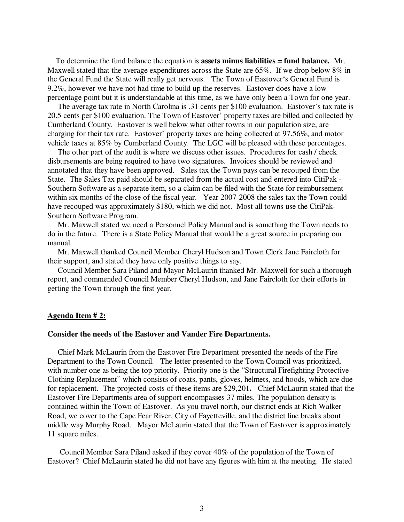To determine the fund balance the equation is **assets minus liabilities = fund balance.** Mr. Maxwell stated that the average expenditures across the State are 65%. If we drop below 8% in the General Fund the State will really get nervous. The Town of Eastover's General Fund is 9.2%, however we have not had time to build up the reserves. Eastover does have a low percentage point but it is understandable at this time, as we have only been a Town for one year.

 The average tax rate in North Carolina is .31 cents per \$100 evaluation. Eastover's tax rate is 20.5 cents per \$100 evaluation. The Town of Eastover' property taxes are billed and collected by Cumberland County. Eastover is well below what other towns in our population size, are charging for their tax rate. Eastover' property taxes are being collected at 97.56%, and motor vehicle taxes at 85% by Cumberland County. The LGC will be pleased with these percentages.

 The other part of the audit is where we discuss other issues. Procedures for cash / check disbursements are being required to have two signatures. Invoices should be reviewed and annotated that they have been approved. Sales tax the Town pays can be recouped from the State. The Sales Tax paid should be separated from the actual cost and entered into CitiPak - Southern Software as a separate item, so a claim can be filed with the State for reimbursement within six months of the close of the fiscal year. Year 2007-2008 the sales tax the Town could have recouped was approximately \$180, which we did not. Most all towns use the CitiPak-Southern Software Program.

 Mr. Maxwell stated we need a Personnel Policy Manual and is something the Town needs to do in the future. There is a State Policy Manual that would be a great source in preparing our manual.

 Mr. Maxwell thanked Council Member Cheryl Hudson and Town Clerk Jane Faircloth for their support, and stated they have only positive things to say.

 Council Member Sara Piland and Mayor McLaurin thanked Mr. Maxwell for such a thorough report, and commended Council Member Cheryl Hudson, and Jane Faircloth for their efforts in getting the Town through the first year.

#### **Agenda Item # 2:**

#### **Consider the needs of the Eastover and Vander Fire Departments.**

 Chief Mark McLaurin from the Eastover Fire Department presented the needs of the Fire Department to the Town Council. The letter presented to the Town Council was prioritized, with number one as being the top priority. Priority one is the "Structural Firefighting Protective Clothing Replacement" which consists of coats, pants, gloves, helmets, and hoods, which are due for replacement. The projected costs of these items are \$29,201**.** Chief McLaurin stated that the Eastover Fire Departments area of support encompasses 37 miles. The population density is contained within the Town of Eastover. As you travel north, our district ends at Rich Walker Road, we cover to the Cape Fear River, City of Fayetteville, and the district line breaks about middle way Murphy Road. Mayor McLaurin stated that the Town of Eastover is approximately 11 square miles.

 Council Member Sara Piland asked if they cover 40% of the population of the Town of Eastover? Chief McLaurin stated he did not have any figures with him at the meeting. He stated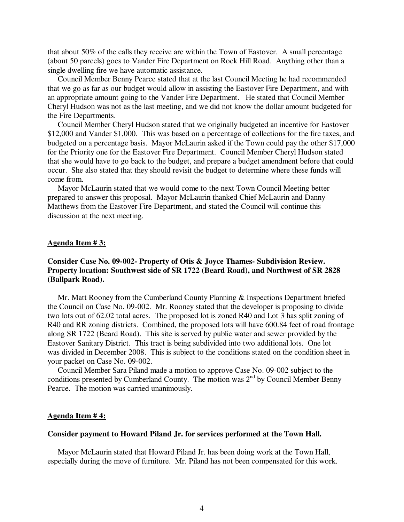that about 50% of the calls they receive are within the Town of Eastover. A small percentage (about 50 parcels) goes to Vander Fire Department on Rock Hill Road. Anything other than a single dwelling fire we have automatic assistance.

 Council Member Benny Pearce stated that at the last Council Meeting he had recommended that we go as far as our budget would allow in assisting the Eastover Fire Department, and with an appropriate amount going to the Vander Fire Department. He stated that Council Member Cheryl Hudson was not as the last meeting, and we did not know the dollar amount budgeted for the Fire Departments.

 Council Member Cheryl Hudson stated that we originally budgeted an incentive for Eastover \$12,000 and Vander \$1,000. This was based on a percentage of collections for the fire taxes, and budgeted on a percentage basis. Mayor McLaurin asked if the Town could pay the other \$17,000 for the Priority one for the Eastover Fire Department. Council Member Cheryl Hudson stated that she would have to go back to the budget, and prepare a budget amendment before that could occur. She also stated that they should revisit the budget to determine where these funds will come from.

 Mayor McLaurin stated that we would come to the next Town Council Meeting better prepared to answer this proposal. Mayor McLaurin thanked Chief McLaurin and Danny Matthews from the Eastover Fire Department, and stated the Council will continue this discussion at the next meeting.

### **Agenda Item # 3:**

# **Consider Case No. 09-002- Property of Otis & Joyce Thames- Subdivision Review. Property location: Southwest side of SR 1722 (Beard Road), and Northwest of SR 2828 (Ballpark Road).**

 Mr. Matt Rooney from the Cumberland County Planning & Inspections Department briefed the Council on Case No. 09-002. Mr. Rooney stated that the developer is proposing to divide two lots out of 62.02 total acres. The proposed lot is zoned R40 and Lot 3 has split zoning of R40 and RR zoning districts. Combined, the proposed lots will have 600.84 feet of road frontage along SR 1722 (Beard Road). This site is served by public water and sewer provided by the Eastover Sanitary District. This tract is being subdivided into two additional lots. One lot was divided in December 2008. This is subject to the conditions stated on the condition sheet in your packet on Case No. 09-002.

 Council Member Sara Piland made a motion to approve Case No. 09-002 subject to the conditions presented by Cumberland County. The motion was  $2<sup>nd</sup>$  by Council Member Benny Pearce. The motion was carried unanimously.

#### **Agenda Item # 4:**

#### **Consider payment to Howard Piland Jr. for services performed at the Town Hall.**

 Mayor McLaurin stated that Howard Piland Jr. has been doing work at the Town Hall, especially during the move of furniture. Mr. Piland has not been compensated for this work.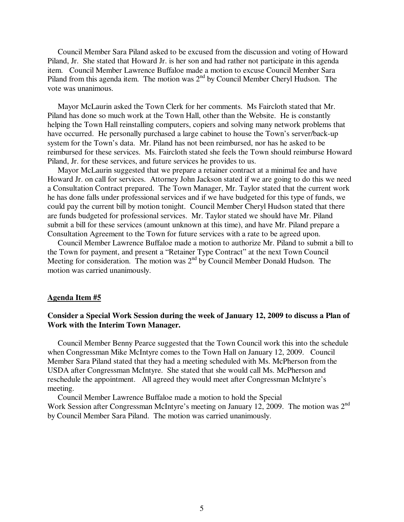Council Member Sara Piland asked to be excused from the discussion and voting of Howard Piland, Jr. She stated that Howard Jr. is her son and had rather not participate in this agenda item. Council Member Lawrence Buffaloe made a motion to excuse Council Member Sara Piland from this agenda item. The motion was  $2<sup>nd</sup>$  by Council Member Cheryl Hudson. The vote was unanimous.

 Mayor McLaurin asked the Town Clerk for her comments. Ms Faircloth stated that Mr. Piland has done so much work at the Town Hall, other than the Website. He is constantly helping the Town Hall reinstalling computers, copiers and solving many network problems that have occurred. He personally purchased a large cabinet to house the Town's server/back-up system for the Town's data. Mr. Piland has not been reimbursed, nor has he asked to be reimbursed for these services. Ms. Faircloth stated she feels the Town should reimburse Howard Piland, Jr. for these services, and future services he provides to us.

 Mayor McLaurin suggested that we prepare a retainer contract at a minimal fee and have Howard Jr. on call for services. Attorney John Jackson stated if we are going to do this we need a Consultation Contract prepared. The Town Manager, Mr. Taylor stated that the current work he has done falls under professional services and if we have budgeted for this type of funds, we could pay the current bill by motion tonight. Council Member Cheryl Hudson stated that there are funds budgeted for professional services. Mr. Taylor stated we should have Mr. Piland submit a bill for these services (amount unknown at this time), and have Mr. Piland prepare a Consultation Agreement to the Town for future services with a rate to be agreed upon.

 Council Member Lawrence Buffaloe made a motion to authorize Mr. Piland to submit a bill to the Town for payment, and present a "Retainer Type Contract" at the next Town Council Meeting for consideration. The motion was  $2<sup>nd</sup>$  by Council Member Donald Hudson. The motion was carried unanimously.

#### **Agenda Item #5**

# **Consider a Special Work Session during the week of January 12, 2009 to discuss a Plan of Work with the Interim Town Manager.**

 Council Member Benny Pearce suggested that the Town Council work this into the schedule when Congressman Mike McIntyre comes to the Town Hall on January 12, 2009. Council Member Sara Piland stated that they had a meeting scheduled with Ms. McPherson from the USDA after Congressman McIntyre. She stated that she would call Ms. McPherson and reschedule the appointment. All agreed they would meet after Congressman McIntyre's meeting.

 Council Member Lawrence Buffaloe made a motion to hold the Special Work Session after Congressman McIntyre's meeting on January 12, 2009. The motion was 2<sup>nd</sup> by Council Member Sara Piland.The motion was carried unanimously.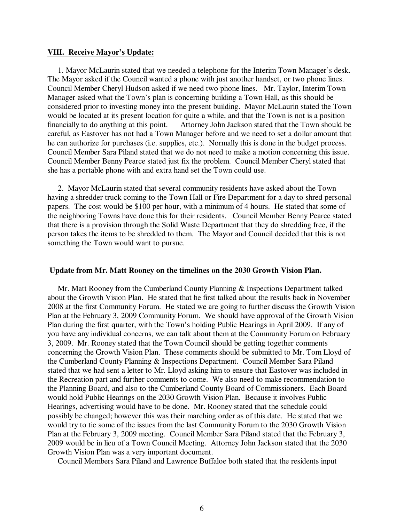#### **VIII. Receive Mayor's Update:**

 1. Mayor McLaurin stated that we needed a telephone for the Interim Town Manager's desk. The Mayor asked if the Council wanted a phone with just another handset, or two phone lines. Council Member Cheryl Hudson asked if we need two phone lines. Mr. Taylor, Interim Town Manager asked what the Town's plan is concerning building a Town Hall, as this should be considered prior to investing money into the present building. Mayor McLaurin stated the Town would be located at its present location for quite a while, and that the Town is not is a position financially to do anything at this point. Attorney John Jackson stated that the Town should be careful, as Eastover has not had a Town Manager before and we need to set a dollar amount that he can authorize for purchases (i.e. supplies, etc.). Normally this is done in the budget process. Council Member Sara Piland stated that we do not need to make a motion concerning this issue. Council Member Benny Pearce stated just fix the problem. Council Member Cheryl stated that she has a portable phone with and extra hand set the Town could use.

 2. Mayor McLaurin stated that several community residents have asked about the Town having a shredder truck coming to the Town Hall or Fire Department for a day to shred personal papers. The cost would be \$100 per hour, with a minimum of 4 hours. He stated that some of the neighboring Towns have done this for their residents. Council Member Benny Pearce stated that there is a provision through the Solid Waste Department that they do shredding free, if the person takes the items to be shredded to them. The Mayor and Council decided that this is not something the Town would want to pursue.

#### **Update from Mr. Matt Rooney on the timelines on the 2030 Growth Vision Plan.**

 Mr. Matt Rooney from the Cumberland County Planning & Inspections Department talked about the Growth Vision Plan. He stated that he first talked about the results back in November 2008 at the first Community Forum. He stated we are going to further discuss the Growth Vision Plan at the February 3, 2009 Community Forum. We should have approval of the Growth Vision Plan during the first quarter, with the Town's holding Public Hearings in April 2009. If any of you have any individual concerns, we can talk about them at the Community Forum on February 3, 2009. Mr. Rooney stated that the Town Council should be getting together comments concerning the Growth Vision Plan. These comments should be submitted to Mr. Tom Lloyd of the Cumberland County Planning & Inspections Department. Council Member Sara Piland stated that we had sent a letter to Mr. Lloyd asking him to ensure that Eastover was included in the Recreation part and further comments to come. We also need to make recommendation to the Planning Board, and also to the Cumberland County Board of Commissioners. Each Board would hold Public Hearings on the 2030 Growth Vision Plan. Because it involves Public Hearings, advertising would have to be done. Mr. Rooney stated that the schedule could possibly be changed; however this was their marching order as of this date. He stated that we would try to tie some of the issues from the last Community Forum to the 2030 Growth Vision Plan at the February 3, 2009 meeting. Council Member Sara Piland stated that the February 3, 2009 would be in lieu of a Town Council Meeting. Attorney John Jackson stated that the 2030 Growth Vision Plan was a very important document.

Council Members Sara Piland and Lawrence Buffaloe both stated that the residents input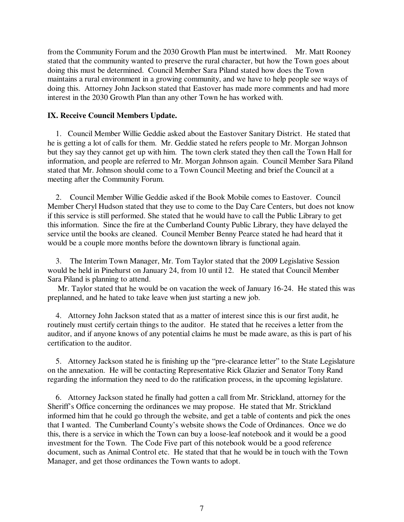from the Community Forum and the 2030 Growth Plan must be intertwined. Mr. Matt Rooney stated that the community wanted to preserve the rural character, but how the Town goes about doing this must be determined. Council Member Sara Piland stated how does the Town maintains a rural environment in a growing community, and we have to help people see ways of doing this. Attorney John Jackson stated that Eastover has made more comments and had more interest in the 2030 Growth Plan than any other Town he has worked with.

# **IX. Receive Council Members Update.**

 1. Council Member Willie Geddie asked about the Eastover Sanitary District. He stated that he is getting a lot of calls for them. Mr. Geddie stated he refers people to Mr. Morgan Johnson but they say they cannot get up with him. The town clerk stated they then call the Town Hall for information, and people are referred to Mr. Morgan Johnson again. Council Member Sara Piland stated that Mr. Johnson should come to a Town Council Meeting and brief the Council at a meeting after the Community Forum.

 2. Council Member Willie Geddie asked if the Book Mobile comes to Eastover. Council Member Cheryl Hudson stated that they use to come to the Day Care Centers, but does not know if this service is still performed. She stated that he would have to call the Public Library to get this information. Since the fire at the Cumberland County Public Library, they have delayed the service until the books are cleaned. Council Member Benny Pearce stated he had heard that it would be a couple more months before the downtown library is functional again.

 3. The Interim Town Manager, Mr. Tom Taylor stated that the 2009 Legislative Session would be held in Pinehurst on January 24, from 10 until 12. He stated that Council Member Sara Piland is planning to attend.

 Mr. Taylor stated that he would be on vacation the week of January 16-24. He stated this was preplanned, and he hated to take leave when just starting a new job.

 4. Attorney John Jackson stated that as a matter of interest since this is our first audit, he routinely must certify certain things to the auditor. He stated that he receives a letter from the auditor, and if anyone knows of any potential claims he must be made aware, as this is part of his certification to the auditor.

 5. Attorney Jackson stated he is finishing up the "pre-clearance letter" to the State Legislature on the annexation. He will be contacting Representative Rick Glazier and Senator Tony Rand regarding the information they need to do the ratification process, in the upcoming legislature.

 6. Attorney Jackson stated he finally had gotten a call from Mr. Strickland, attorney for the Sheriff's Office concerning the ordinances we may propose. He stated that Mr. Strickland informed him that he could go through the website, and get a table of contents and pick the ones that I wanted. The Cumberland County's website shows the Code of Ordinances. Once we do this, there is a service in which the Town can buy a loose-leaf notebook and it would be a good investment for the Town. The Code Five part of this notebook would be a good reference document, such as Animal Control etc. He stated that that he would be in touch with the Town Manager, and get those ordinances the Town wants to adopt.